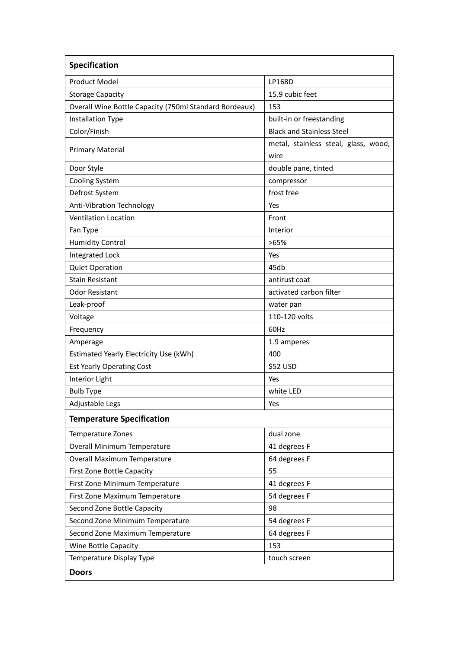| Specification                                          |                                              |
|--------------------------------------------------------|----------------------------------------------|
| <b>Product Model</b>                                   | LP168D                                       |
| <b>Storage Capacity</b>                                | 15.9 cubic feet                              |
| Overall Wine Bottle Capacity (750ml Standard Bordeaux) | 153                                          |
| <b>Installation Type</b>                               | built-in or freestanding                     |
| Color/Finish                                           | <b>Black and Stainless Steel</b>             |
| <b>Primary Material</b>                                | metal, stainless steal, glass, wood,<br>wire |
| Door Style                                             | double pane, tinted                          |
| <b>Cooling System</b>                                  | compressor                                   |
| Defrost System                                         | frost free                                   |
| Anti-Vibration Technology                              | Yes                                          |
| <b>Ventilation Location</b>                            | Front                                        |
| Fan Type                                               | Interior                                     |
| <b>Humidity Control</b>                                | >65%                                         |
| Integrated Lock                                        | Yes                                          |
| <b>Quiet Operation</b>                                 | 45db                                         |
| <b>Stain Resistant</b>                                 | antirust coat                                |
| <b>Odor Resistant</b>                                  | activated carbon filter                      |
| Leak-proof                                             | water pan                                    |
| Voltage                                                | 110-120 volts                                |
| Frequency                                              | 60Hz                                         |
| Amperage                                               | 1.9 amperes                                  |
| Estimated Yearly Electricity Use (kWh)                 | 400                                          |
| <b>Est Yearly Operating Cost</b>                       | \$52 USD                                     |
| Interior Light                                         | Yes                                          |
| <b>Bulb Type</b>                                       | white LED                                    |
| Adjustable Legs                                        | Yes                                          |
| <b>Temperature Specification</b>                       |                                              |
| Temperature Zones                                      | dual zone                                    |
| <b>Overall Minimum Temperature</b>                     | 41 degrees F                                 |
| Overall Maximum Temperature                            | 64 degrees F                                 |
| First Zone Bottle Capacity                             | 55                                           |
| First Zone Minimum Temperature                         | 41 degrees F                                 |
| First Zone Maximum Temperature                         | 54 degrees F                                 |
| Second Zone Bottle Capacity                            | 98                                           |
| Second Zone Minimum Temperature                        | 54 degrees F                                 |
| Second Zone Maximum Temperature                        | 64 degrees F                                 |
| Wine Bottle Capacity                                   | 153                                          |
| Temperature Display Type                               | touch screen                                 |
| <b>Doors</b>                                           |                                              |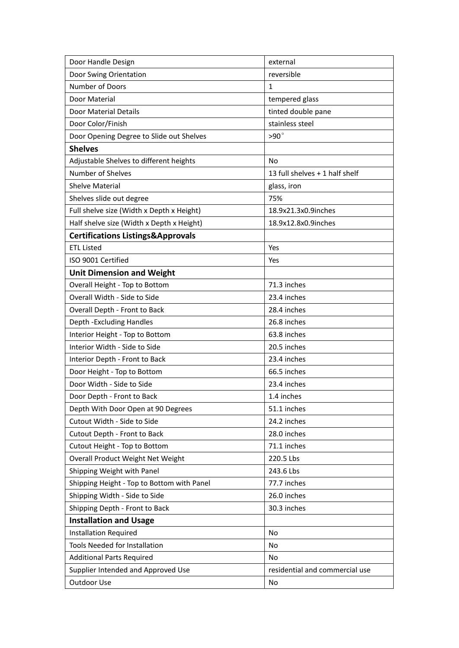| Door Handle Design                           | external                       |
|----------------------------------------------|--------------------------------|
| Door Swing Orientation                       | reversible                     |
| Number of Doors                              | 1                              |
| Door Material                                | tempered glass                 |
| Door Material Details                        | tinted double pane             |
| Door Color/Finish                            | stainless steel                |
| Door Opening Degree to Slide out Shelves     | $>90^\circ$                    |
| <b>Shelves</b>                               |                                |
| Adjustable Shelves to different heights      | <b>No</b>                      |
| Number of Shelves                            | 13 full shelves + 1 half shelf |
| <b>Shelve Material</b>                       | glass, iron                    |
| Shelves slide out degree                     | 75%                            |
| Full shelve size (Width x Depth x Height)    | 18.9x21.3x0.9inches            |
| Half shelve size (Width x Depth x Height)    | 18.9x12.8x0.9inches            |
| <b>Certifications Listings&amp;Approvals</b> |                                |
| <b>ETL Listed</b>                            | Yes                            |
| ISO 9001 Certified                           | Yes                            |
| <b>Unit Dimension and Weight</b>             |                                |
| Overall Height - Top to Bottom               | 71.3 inches                    |
| Overall Width - Side to Side                 | 23.4 inches                    |
| Overall Depth - Front to Back                | 28.4 inches                    |
| Depth - Excluding Handles                    | 26.8 inches                    |
| Interior Height - Top to Bottom              | 63.8 inches                    |
| Interior Width - Side to Side                | 20.5 inches                    |
| Interior Depth - Front to Back               | 23.4 inches                    |
| Door Height - Top to Bottom                  | 66.5 inches                    |
| Door Width - Side to Side                    | 23.4 inches                    |
| Door Depth - Front to Back                   | 1.4 inches                     |
| Depth With Door Open at 90 Degrees           | 51.1 inches                    |
| Cutout Width - Side to Side                  | 24.2 inches                    |
| Cutout Depth - Front to Back                 | 28.0 inches                    |
| Cutout Height - Top to Bottom                | 71.1 inches                    |
| Overall Product Weight Net Weight            | 220.5 Lbs                      |
| Shipping Weight with Panel                   | 243.6 Lbs                      |
| Shipping Height - Top to Bottom with Panel   | 77.7 inches                    |
| Shipping Width - Side to Side                | 26.0 inches                    |
| Shipping Depth - Front to Back               | 30.3 inches                    |
| <b>Installation and Usage</b>                |                                |
| <b>Installation Required</b>                 | No                             |
| Tools Needed for Installation                | No                             |
| <b>Additional Parts Required</b>             | No                             |
| Supplier Intended and Approved Use           | residential and commercial use |
| Outdoor Use                                  | No                             |